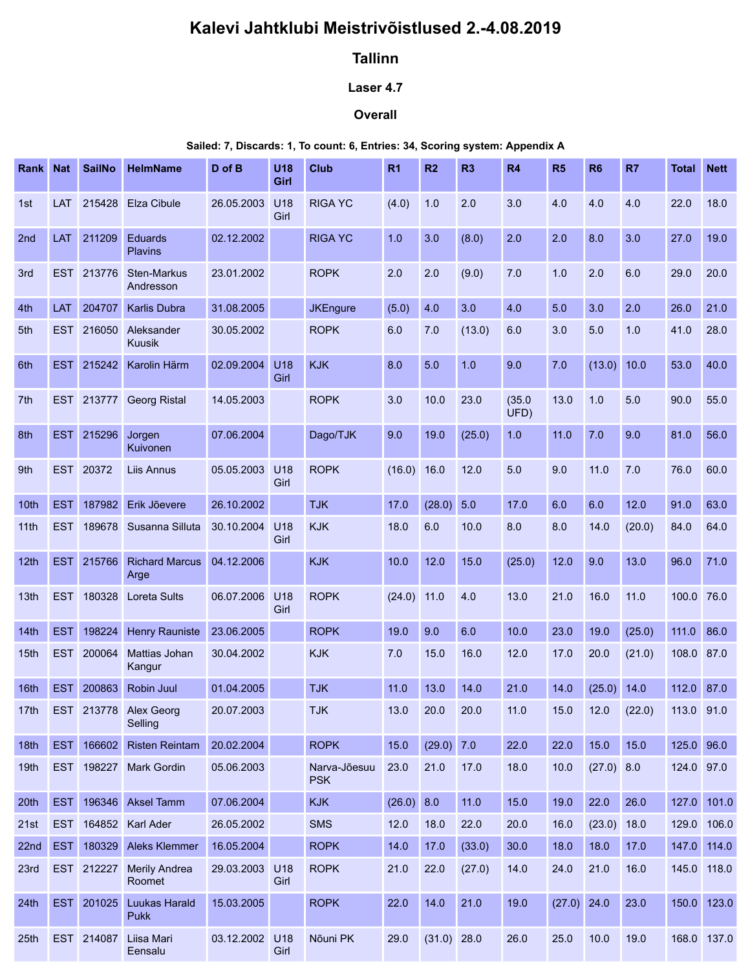# Kalevi Jahtklubi Meistrivõistlused 2.-4.08.2019

# Tallinn

## Laser 4.7

### **Overall**

#### Sailed: 7, Discards: 1, To count: 6, Entries: 34, Scoring system: Appendix A

|                  |                                                                              |            |                                               |                          |             | Kalevi Jahtklubi Meistrivõistlused 2.-4.08.2019 |               |               |                |                |               |                |        |                          |                |
|------------------|------------------------------------------------------------------------------|------------|-----------------------------------------------|--------------------------|-------------|-------------------------------------------------|---------------|---------------|----------------|----------------|---------------|----------------|--------|--------------------------|----------------|
|                  |                                                                              |            |                                               |                          |             | <b>Tallinn</b>                                  |               |               |                |                |               |                |        |                          |                |
|                  |                                                                              |            |                                               |                          |             | Laser 4.7                                       |               |               |                |                |               |                |        |                          |                |
|                  |                                                                              |            |                                               |                          |             | <b>Overall</b>                                  |               |               |                |                |               |                |        |                          |                |
|                  | Sailed: 7, Discards: 1, To count: 6, Entries: 34, Scoring system: Appendix A |            |                                               |                          |             |                                                 |               |               |                |                |               |                |        |                          |                |
|                  |                                                                              |            | Rank Nat SailNo HelmName                      | D of B                   | <b>U18</b>  | <b>Club</b>                                     | <b>R1</b>     | R2            | R <sub>3</sub> | R4             | R5            | R <sub>6</sub> | R7     | <b>Total Nett</b>        |                |
| 1st              |                                                                              |            | LAT 215428 Elza Cibule                        | 26.05.2003               | Girl<br>U18 | <b>RIGA YC</b>                                  | (4.0)         | 1.0           | 2.0            | 3.0            | 4.0           | 4.0            | 4.0    | 22.0                     | 18.0           |
|                  |                                                                              |            |                                               |                          | Girl        |                                                 |               |               |                |                |               |                |        |                          |                |
| 2nd              |                                                                              | LAT 211209 | Eduards<br>Plavins                            | 02.12.2002               |             | <b>RIGA YC</b>                                  | 1.0           | 3.0           | (8.0)          | 2.0            | 2.0           | 8.0            | 3.0    | 27.0                     | $19.0$         |
| 3rd              | <b>EST</b>                                                                   |            | 213776 Sten-Markus<br>Andresson               | 23.01.2002               |             | <b>ROPK</b>                                     | 2.0           | 2.0           | (9.0)          | 7.0            | 1.0           | 2.0            | 6.0    | 29.0                     | 20.0           |
| 4th              | <b>LAT</b>                                                                   | 204707     | <b>Karlis Dubra</b>                           | 31.08.2005               |             | <b>JKEngure</b>                                 | (5.0)         | 4.0           | 3.0            | 4.0            | 5.0           | 3.0            | 2.0    | 26.0                     | 21.0           |
| 5th              |                                                                              | EST 216050 | Aleksander<br>Kuusik                          | 30.05.2002               |             | <b>ROPK</b>                                     | 6.0           | 7.0           | (13.0)         | 6.0            | 3.0           | 5.0            | 1.0    | 41.0                     | 28.0           |
| 6th              |                                                                              | EST 215242 | Karolin Härm                                  | 02.09.2004               | U18<br>Girl | <b>KJK</b>                                      | 8.0           | 5.0           | 1.0            | 9.0            | 7.0           | (13.0) 10.0    |        | 53.0                     | 40.0           |
|                  |                                                                              |            | 7th EST 213777 Georg Ristal                   | 14.05.2003               |             | <b>ROPK</b>                                     | 3.0 10.0 23.0 |               |                | (35.0)<br>UFD) | 13.0 1.0 5.0  |                |        | 90.0 55.0                |                |
| 8th              | <b>EST</b>                                                                   | 215296     | Jorgen<br>Kuivonen                            | 07.06.2004               |             | Dago/TJK                                        | 9.0           | 19.0          | (25.0)         | 1.0            | 11.0          | 7.0            | 9.0    | 81.0                     | 56.0           |
| 9th              | <b>EST</b>                                                                   | 20372      | <b>Liis Annus</b>                             | 05.05.2003 U18           |             | <b>ROPK</b>                                     | (16.0) 16.0   |               | 12.0           | 5.0            | 9.0           | $11.0$         | 7.0    | 76.0                     | 60.0           |
| 10 <sup>th</sup> | <b>EST</b>                                                                   |            | 187982 Erik Jõevere                           | 26.10.2002               | Girl        | <b>TJK</b>                                      | 17.0          | $(28.0)$ 5.0  |                | 17.0           | 6.0           | 6.0            | 12.0   | 91.0                     | 63.0           |
| 11th             |                                                                              |            | EST 189678 Susanna Silluta                    | 30.10.2004 U18           |             | <b>KJK</b>                                      | 18.0          | 6.0           | 10.0           | 8.0            | 8.0           | 14.0           | (20.0) | 84.0                     | 64.0           |
| 12th             |                                                                              |            | EST 215766 Richard Marcus 04.12.2006          |                          | Girl        | <b>KJK</b>                                      | 10.0          | 12.0          | 15.0           | (25.0)         | 12.0          | 9.0            | 13.0   | 96.0                     | $\boxed{71.0}$ |
|                  |                                                                              |            | Arge                                          |                          |             |                                                 |               |               |                |                |               |                |        |                          |                |
| 13th             |                                                                              |            | EST 180328 Loreta Sults                       | 06.07.2006 U18           | Girl        | <b>ROPK</b>                                     | $(24.0)$ 11.0 |               | 4.0            | 13.0           | 21.0          | 16.0           | 11.0   | 100.0 76.0               |                |
| 14th             | <b>EST</b>                                                                   | EST 200064 | 198224 Henry Rauniste<br><b>Mattias Johan</b> | 23.06.2005<br>30.04.2002 |             | <b>ROPK</b><br><b>KJK</b>                       | 19.0<br>7.0   | 9.0           | 6.0<br>16.0    | 10.0<br>12.0   | 23.0<br>17.0  | 19.0<br>20.0   | (25.0) | 111.0 86.0<br>108.0 87.0 |                |
| 15 <sub>th</sub> |                                                                              |            | Kangur                                        |                          |             |                                                 |               | 15.0          |                |                |               |                | (21.0) |                          |                |
| 16th             | <b>EST</b>                                                                   | 200863     | Robin Juul                                    | 01.04.2005               |             | <b>TJK</b>                                      | 11.0          | 13.0          | 14.0           | 21.0           | 14.0          | $(25.0)$ 14.0  |        | 112.0 87.0               |                |
| 17th             |                                                                              | EST 213778 | Alex Georg<br>Selling                         | 20.07.2003               |             | <b>TJK</b>                                      | 13.0          | 20.0          | 20.0           | 11.0           | 15.0          | 12.0           | (22.0) | 113.0 91.0               |                |
| 18th             | <b>EST</b>                                                                   | 166602     | <b>Risten Reintam</b>                         | 20.02.2004               |             | <b>ROPK</b>                                     | 15.0          | (29.0) 7.0    |                | 22.0           | 22.0          | 15.0           | 15.0   | 125.0 96.0               |                |
| 19 <sub>th</sub> |                                                                              |            | EST 198227 Mark Gordin                        | 05.06.2003               |             | Narva-Jõesuu<br><b>PSK</b>                      | 23.0          | 21.0          | 17.0           | 18.0           | 10.0          | (27.0) 8.0     |        | 124.0 97.0               |                |
| 20th             | <b>EST</b>                                                                   |            | 196346 Aksel Tamm                             | 07.06.2004               |             | <b>KJK</b>                                      | $(26.0)$ 8.0  |               | 11.0           | 15.0           | 19.0          | 22.0           | 26.0   |                          | 127.0 101.0    |
| 21st             | <b>EST</b>                                                                   |            | 164852 Karl Ader                              | 26.05.2002               |             | SMS                                             | 12.0          | 18.0          | 22.0           | 20.0           | 16.0          | $(23.0)$ 18.0  |        | 129.0 106.0              |                |
| 22nd             | <b>EST</b>                                                                   |            | 180329 Aleks Klemmer                          | 16.05.2004               |             | <b>ROPK</b>                                     | 14.0          | 17.0          | (33.0)         | 30.0           | 18.0          | 18.0           | 17.0   | 147.0 114.0              |                |
| 23rd             |                                                                              |            | EST 212227 Merily Andrea<br>Roomet            | 29.03.2003 U18           | Girl        | <b>ROPK</b>                                     | 21.0          | 22.0          | (27.0)         | 14.0           | 24.0          | 21.0           | 16.0   | 145.0 118.0              |                |
| 24th             | <b>EST</b>                                                                   | 201025     | <b>Luukas Harald</b><br>Pukk                  | 15.03.2005               |             | <b>ROPK</b>                                     | 22.0          | 14.0          | 21.0           | 19.0           | $(27.0)$ 24.0 |                | 23.0   |                          | 150.0 123.0    |
| 25th             |                                                                              |            | EST 214087 Liisa Mari<br><b>Lensalu</b>       | 03.12.2002 U18           | Girl        | Nõuni PK                                        | 29.0          | $(31.0)$ 28.0 |                | 26.0           | 25.0          | 10.0           | 19.0   | 168.0 137.0              |                |
|                  |                                                                              |            |                                               |                          |             |                                                 |               |               |                |                |               |                |        |                          |                |